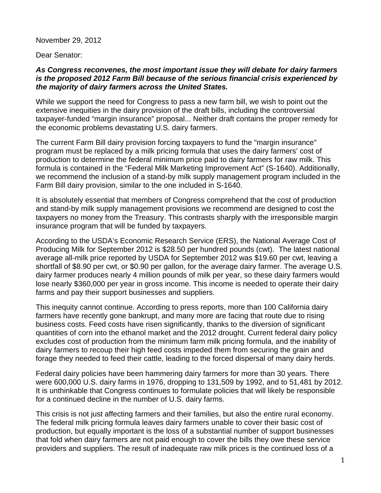November 29, 2012

Dear Senator:

## *As Congress reconvenes, the most important issue they will debate for dairy farmers is the proposed 2012 Farm Bill because of the serious financial crisis experienced by the majority of dairy farmers across the United States.*

While we support the need for Congress to pass a new farm bill, we wish to point out the extensive inequities in the dairy provision of the draft bills, including the controversial taxpayer-funded "margin insurance" proposal... Neither draft contains the proper remedy for the economic problems devastating U.S. dairy farmers.

The current Farm Bill dairy provision forcing taxpayers to fund the "margin insurance" program must be replaced by a milk pricing formula that uses the dairy farmers' cost of production to determine the federal minimum price paid to dairy farmers for raw milk. This formula is contained in the "Federal Milk Marketing Improvement Act" (S-1640). Additionally, we recommend the inclusion of a stand-by milk supply management program included in the Farm Bill dairy provision, similar to the one included in S-1640.

It is absolutely essential that members of Congress comprehend that the cost of production and stand-by milk supply management provisions we recommend are designed to cost the taxpayers no money from the Treasury. This contrasts sharply with the irresponsible margin insurance program that will be funded by taxpayers.

According to the USDA's Economic Research Service (ERS), the National Average Cost of Producing Milk for September 2012 is \$28.50 per hundred pounds (cwt). The latest national average all-milk price reported by USDA for September 2012 was \$19.60 per cwt, leaving a shortfall of \$8.90 per cwt, or \$0.90 per gallon, for the average dairy farmer. The average U.S. dairy farmer produces nearly 4 million pounds of milk per year, so these dairy farmers would lose nearly \$360,000 per year in gross income. This income is needed to operate their dairy farms and pay their support businesses and suppliers.

This inequity cannot continue. According to press reports, more than 100 California dairy farmers have recently gone bankrupt, and many more are facing that route due to rising business costs. Feed costs have risen significantly, thanks to the diversion of significant quantities of corn into the ethanol market and the 2012 drought. Current federal dairy policy excludes cost of production from the minimum farm milk pricing formula, and the inability of dairy farmers to recoup their high feed costs impeded them from securing the grain and forage they needed to feed their cattle, leading to the forced dispersal of many dairy herds.

Federal dairy policies have been hammering dairy farmers for more than 30 years. There were 600,000 U.S. dairy farms in 1976, dropping to 131,509 by 1992, and to 51,481 by 2012. It is unthinkable that Congress continues to formulate policies that will likely be responsible for a continued decline in the number of U.S. dairy farms.

This crisis is not just affecting farmers and their families, but also the entire rural economy. The federal milk pricing formula leaves dairy farmers unable to cover their basic cost of production, but equally important is the loss of a substantial number of support businesses that fold when dairy farmers are not paid enough to cover the bills they owe these service providers and suppliers. The result of inadequate raw milk prices is the continued loss of a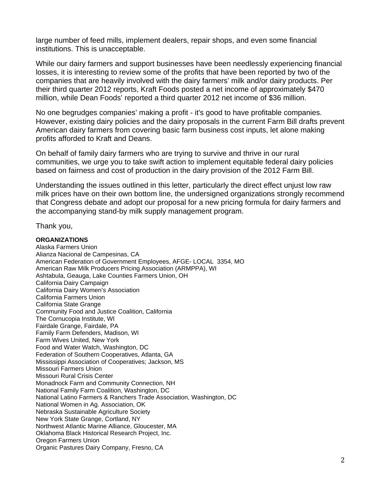large number of feed mills, implement dealers, repair shops, and even some financial institutions. This is unacceptable.

While our dairy farmers and support businesses have been needlessly experiencing financial losses, it is interesting to review some of the profits that have been reported by two of the companies that are heavily involved with the dairy farmers' milk and/or dairy products. Per their third quarter 2012 reports, Kraft Foods posted a net income of approximately \$470 million, while Dean Foods' reported a third quarter 2012 net income of \$36 million.

No one begrudges companies' making a profit - it's good to have profitable companies. However, existing dairy policies and the dairy proposals in the current Farm Bill drafts prevent American dairy farmers from covering basic farm business cost inputs, let alone making profits afforded to Kraft and Deans.

On behalf of family dairy farmers who are trying to survive and thrive in our rural communities, we urge you to take swift action to implement equitable federal dairy policies based on fairness and cost of production in the dairy provision of the 2012 Farm Bill.

Understanding the issues outlined in this letter, particularly the direct effect unjust low raw milk prices have on their own bottom line, the undersigned organizations strongly recommend that Congress debate and adopt our proposal for a new pricing formula for dairy farmers and the accompanying stand-by milk supply management program.

Thank you,

## **ORGANIZATIONS**

Alaska Farmers Union Alianza Nacional de Campesinas, CA American Federation of Government Employees, AFGE- LOCAL 3354, MO American Raw Milk Producers Pricing Association (ARMPPA), WI Ashtabula, Geauga, Lake Counties Farmers Union, OH California Dairy Campaign California Dairy Women's Association California Farmers Union California State Grange Community Food and Justice Coalition, California The Cornucopia Institute, WI Fairdale Grange, Fairdale, PA Family Farm Defenders, Madison, WI Farm Wives United, New York Food and Water Watch, Washington, DC Federation of Southern Cooperatives, Atlanta, GA Mississippi Association of Cooperatives; Jackson, MS Missouri Farmers Union Missouri Rural Crisis Center Monadnock Farm and Community Connection, NH National Family Farm Coalition, Washington, DC National Latino Farmers & Ranchers Trade Association, Washington, DC National Women in Ag. Association, OK Nebraska Sustainable Agriculture Society New York State Grange, Cortland, NY Northwest Atlantic Marine Alliance, Gloucester, MA Oklahoma Black Historical Research Project, Inc. Oregon Farmers Union Organic Pastures Dairy Company, Fresno, CA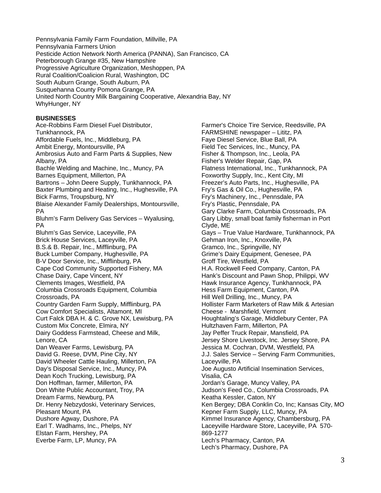Pennsylvania Family Farm Foundation, Millville, PA Pennsylvania Farmers Union Pesticide Action Network North America (PANNA), San Francisco, CA Peterborough Grange #35, New Hampshire Progressive Agriculture Organization, Meshoppen, PA Rural Coalition/Coalicion Rural, Washington, DC South Auburn Grange, South Auburn, PA Susquehanna County Pomona Grange, PA United North Country Milk Bargaining Cooperative, Alexandria Bay, NY WhyHunger, NY

## **BUSINESSES**

Ace-Robbins Farm Diesel Fuel Distributor, Tunkhannock, PA Affordable Fuels, Inc., Middleburg, PA Ambit Energy, Montoursville, PA Ambrosius Auto and Farm Parts & Supplies, New Albany, PA Bachle Welding and Machine, Inc., Muncy, PA Barnes Equipment, Millerton, PA Bartrons – John Deere Supply, Tunkhannock, PA Baxter Plumbing and Heating, Inc., Hughesville, PA Bick Farms, Troupsburg, NY Blaise Alexander Family Dealerships, Montoursville, PA Bluhm's Farm Delivery Gas Services – Wyalusing, PA Bluhm's Gas Service, Laceyville, PA Brick House Services, Laceyville, PA B.S.& B. Repair, Inc., Mifflinburg, PA Buck Lumber Company, Hughesville, PA B-V Door Service, Inc., Mifflinburg, PA Cape Cod Community Supported Fishery, MA Chase Dairy, Cape Vincent, NY Clements Images, Westfield, PA Columbia Crossroads Equipment, Columbia Crossroads, PA Country Garden Farm Supply, Mifflinburg, PA Cow Comfort Specialists, Altamont, MI Curt Falck DBA H. & C. Grove NX, Lewisburg, PA Custom Mix Concrete, Elmira, NY Dairy Goddess Farmstead, Cheese and Milk, Lenore, CA Dan Weaver Farms, Lewisburg, PA David G. Reese, DVM, Pine City, NY David Wheeler Cattle Hauling, Millerton, PA Day's Disposal Service, Inc., Muncy, PA Dean Koch Trucking, Lewisburg, PA Don Hoffman, farmer, Millerton, PA Don White Public Accountant, Troy, PA Dream Farms, Newburg, PA Dr. Henry Nebzydoski, Veterinary Services, Pleasant Mount, PA Dushore Agway, Dushore, PA Earl T. Wadhams, Inc., Phelps, NY Elstan Farm, Hershey, PA Everbe Farm, LP, Muncy, PA

Farmer's Choice Tire Service, Reedsville, PA FARMSHINE newspaper – Lititz, PA Faye Diesel Service, Blue Ball, PA Field Tec Services, Inc., Muncy, PA Fisher & Thompson, Inc., Leola, PA Fisher's Welder Repair, Gap, PA Flatness International, Inc., Tunkhannock, PA Foxworthy Supply, Inc., Kent City, MI Freezer's Auto Parts, Inc., Hughesville, PA Fry's Gas & Oil Co., Hughesville, PA Fry's Machinery, Inc., Pennsdale, PA Fry's Plastic, Pennsdale, PA Gary Clarke Farm, Columbia Crossroads, PA Gary Libby, small boat family fisherman in Port Clyde, ME Gays – True Value Hardware, Tunkhannock, PA Gehman Iron, Inc., Knoxville, PA Gramco, Inc., Springville, NY Grime's Dairy Equipment, Genesee, PA Groff Tire, Westfield, PA H.A. Rockwell Feed Company, Canton, PA Hank's Discount and Pawn Shop, Philippi, WV Hawk Insurance Agency, Tunkhannock, PA Hess Farm Equipment, Canton, PA Hill Well Drilling, Inc., Muncy, PA Hollister Farm Marketers of Raw Milk & Artesian Cheese - Marshfield, Vermont Houghtaling's Garage, Middlebury Center, PA Hultzhaven Farm, Millerton, PA Jay Peffer Truck Repair, Mansfield, PA Jersey Shore Livestock, Inc. Jersey Shore, PA Jessica M. Cochran, DVM, Westfield, PA J.J. Sales Service – Serving Farm Communities, Laceyville, PA Joe Augusto Artificial Insemination Services, Visalia, CA Jordan's Garage, Muncy Valley, PA Judson's Feed Co., Columbia Crossroads, PA Keatha Kessler, Caton, NY Ken Bergey; DBA Conklin Co, Inc; Kansas City, MO Kepner Farm Supply, LLC, Muncy, PA Kimmel Insurance Agency, Chambersburg, PA Laceyville Hardware Store, Laceyville, PA 570- 869-1277 Lech's Pharmacy, Canton, PA Lech's Pharmacy, Dushore, PA